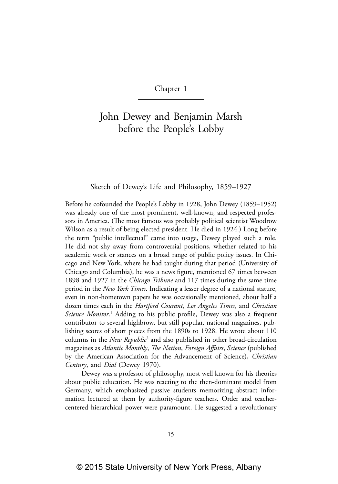Chapter 1

# John Dewey and Benjamin Marsh before the People's Lobby

#### Sketch of Dewey's Life and Philosophy, 1859–1927

Before he cofounded the People's Lobby in 1928, John Dewey (1859–1952) was already one of the most prominent, well-known, and respected professors in America. (The most famous was probably political scientist Woodrow Wilson as a result of being elected president. He died in 1924.) Long before the term "public intellectual" came into usage, Dewey played such a role. He did not shy away from controversial positions, whether related to his academic work or stances on a broad range of public policy issues. In Chicago and New York, where he had taught during that period (University of Chicago and Columbia), he was a news figure, mentioned 67 times between 1898 and 1927 in the *Chicago Tribune* and 117 times during the same time period in the *New York Times*. Indicating a lesser degree of a national stature, even in non-hometown papers he was occasionally mentioned, about half a dozen times each in the *Hartford Courant*, *Los Angeles Times*, and *Christian*  Science Monitor.<sup>1</sup> Adding to his public profile, Dewey was also a frequent contributor to several highbrow, but still popular, national magazines, publishing scores of short pieces from the 1890s to 1928. He wrote about 110 columns in the *New Republic*<sup>2</sup> and also published in other broad-circulation magazines as *Atlantic Monthly*, *The Nation*, *Foreign Affairs*, *Science* (published by the American Association for the Advancement of Science), *Christian Century*, and *Dial* (Dewey 1970).

Dewey was a professor of philosophy, most well known for his theories about public education. He was reacting to the then-dominant model from Germany, which emphasized passive students memorizing abstract information lectured at them by authority-figure teachers. Order and teachercentered hierarchical power were paramount. He suggested a revolutionary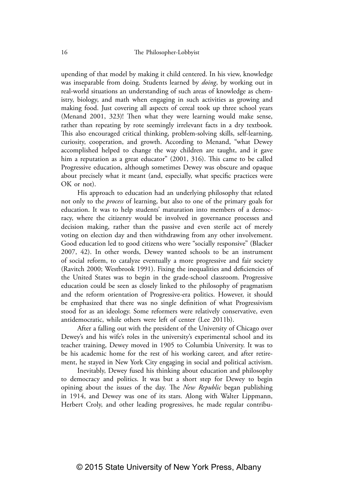upending of that model by making it child centered. In his view, knowledge was inseparable from doing. Students learned by *doing*, by working out in real-world situations an understanding of such areas of knowledge as chemistry, biology, and math when engaging in such activities as growing and making food. Just covering all aspects of cereal took up three school years (Menand 2001, 323)! Then what they were learning would make sense, rather than repeating by rote seemingly irrelevant facts in a dry textbook. This also encouraged critical thinking, problem-solving skills, self-learning, curiosity, cooperation, and growth. According to Menand, "what Dewey accomplished helped to change the way children are taught, and it gave him a reputation as a great educator" (2001, 316). This came to be called Progressive education, although sometimes Dewey was obscure and opaque about precisely what it meant (and, especially, what specific practices were OK or not).

His approach to education had an underlying philosophy that related not only to the *process* of learning, but also to one of the primary goals for education. It was to help students' maturation into members of a democracy, where the citizenry would be involved in governance processes and decision making, rather than the passive and even sterile act of merely voting on election day and then withdrawing from any other involvement. Good education led to good citizens who were "socially responsive" (Blacker 2007, 42). In other words, Dewey wanted schools to be an instrument of social reform, to catalyze eventually a more progressive and fair society (Ravitch 2000; Westbrook 1991). Fixing the inequalities and deficiencies of the United States was to begin in the grade-school classroom. Progressive education could be seen as closely linked to the philosophy of pragmatism and the reform orientation of Progressive-era politics. However, it should be emphasized that there was no single definition of what Progressivism stood for as an ideology. Some reformers were relatively conservative, even antidemocratic, while others were left of center (Lee 2011b).

After a falling out with the president of the University of Chicago over Dewey's and his wife's roles in the university's experimental school and its teacher training, Dewey moved in 1905 to Columbia University. It was to be his academic home for the rest of his working career, and after retirement, he stayed in New York City engaging in social and political activism.

Inevitably, Dewey fused his thinking about education and philosophy to democracy and politics. It was but a short step for Dewey to begin opining about the issues of the day. The *New Republic* began publishing in 1914, and Dewey was one of its stars. Along with Walter Lippmann, Herbert Croly, and other leading progressives, he made regular contribu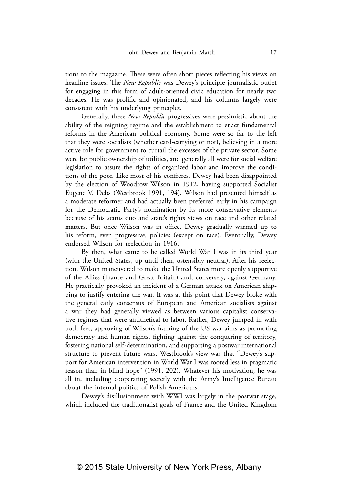tions to the magazine. These were often short pieces reflecting his views on headline issues. The *New Republic* was Dewey's principle journalistic outlet for engaging in this form of adult-oriented civic education for nearly two decades. He was prolific and opinionated, and his columns largely were consistent with his underlying principles.

Generally, these *New Republic* progressives were pessimistic about the ability of the reigning regime and the establishment to enact fundamental reforms in the American political economy. Some were so far to the left that they were socialists (whether card-carrying or not), believing in a more active role for government to curtail the excesses of the private sector. Some were for public ownership of utilities, and generally all were for social welfare legislation to assure the rights of organized labor and improve the conditions of the poor. Like most of his confreres, Dewey had been disappointed by the election of Woodrow Wilson in 1912, having supported Socialist Eugene V. Debs (Westbrook 1991, 194). Wilson had presented himself as a moderate reformer and had actually been preferred early in his campaign for the Democratic Party's nomination by its more conservative elements because of his status quo and state's rights views on race and other related matters. But once Wilson was in office, Dewey gradually warmed up to his reform, even progressive, policies (except on race). Eventually, Dewey endorsed Wilson for reelection in 1916.

By then, what came to be called World War I was in its third year (with the United States, up until then, ostensibly neutral). After his reelection, Wilson maneuvered to make the United States more openly supportive of the Allies (France and Great Britain) and, conversely, against Germany. He practically provoked an incident of a German attack on American shipping to justify entering the war. It was at this point that Dewey broke with the general early consensus of European and American socialists against a war they had generally viewed as between various capitalist conservative regimes that were antithetical to labor. Rather, Dewey jumped in with both feet, approving of Wilson's framing of the US war aims as promoting democracy and human rights, fighting against the conquering of territory, fostering national self-determination, and supporting a postwar international structure to prevent future wars. Westbrook's view was that "Dewey's support for American intervention in World War I was rooted less in pragmatic reason than in blind hope" (1991, 202). Whatever his motivation, he was all in, including cooperating secretly with the Army's Intelligence Bureau about the internal politics of Polish-Americans.

Dewey's disillusionment with WWI was largely in the postwar stage, which included the traditionalist goals of France and the United Kingdom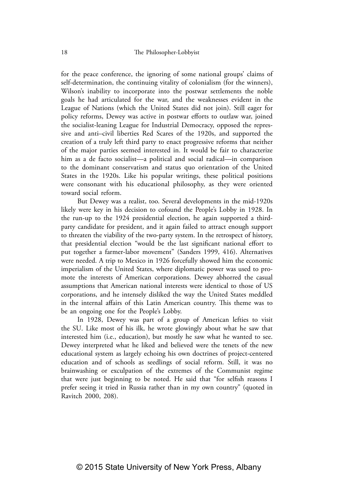for the peace conference, the ignoring of some national groups' claims of self-determination, the continuing vitality of colonialism (for the winners), Wilson's inability to incorporate into the postwar settlements the noble goals he had articulated for the war, and the weaknesses evident in the League of Nations (which the United States did not join). Still eager for policy reforms, Dewey was active in postwar efforts to outlaw war, joined the socialist-leaning League for Industrial Democracy, opposed the repressive and anti–civil liberties Red Scares of the 1920s, and supported the creation of a truly left third party to enact progressive reforms that neither of the major parties seemed interested in. It would be fair to characterize him as a de facto socialist—a political and social radical—in comparison to the dominant conservatism and status quo orientation of the United States in the 1920s. Like his popular writings, these political positions were consonant with his educational philosophy, as they were oriented toward social reform.

But Dewey was a realist, too. Several developments in the mid-1920s likely were key in his decision to cofound the People's Lobby in 1928. In the run-up to the 1924 presidential election, he again supported a thirdparty candidate for president, and it again failed to attract enough support to threaten the viability of the two-party system. In the retrospect of history, that presidential election "would be the last significant national effort to put together a farmer-labor movement" (Sanders 1999, 416). Alternatives were needed. A trip to Mexico in 1926 forcefully showed him the economic imperialism of the United States, where diplomatic power was used to promote the interests of American corporations. Dewey abhorred the casual assumptions that American national interests were identical to those of US corporations, and he intensely disliked the way the United States meddled in the internal affairs of this Latin American country. This theme was to be an ongoing one for the People's Lobby.

In 1928, Dewey was part of a group of American lefties to visit the SU. Like most of his ilk, he wrote glowingly about what he saw that interested him (i.e., education), but mostly he saw what he wanted to see. Dewey interpreted what he liked and believed were the tenets of the new educational system as largely echoing his own doctrines of project-centered education and of schools as seedlings of social reform. Still, it was no brainwashing or exculpation of the extremes of the Communist regime that were just beginning to be noted. He said that "for selfish reasons I prefer seeing it tried in Russia rather than in my own country" (quoted in Ravitch 2000, 208).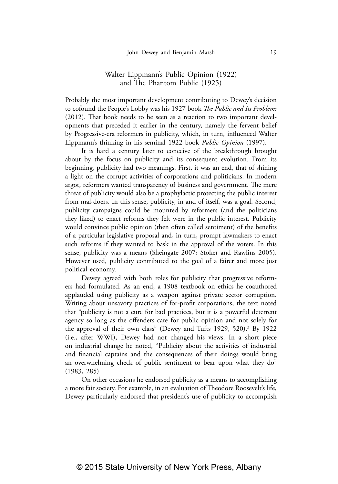## Walter Lippmann's Public Opinion (1922) and The Phantom Public (1925)

Probably the most important development contributing to Dewey's decision to cofound the People's Lobby was his 1927 book *The Public and Its Problems* (2012). That book needs to be seen as a reaction to two important developments that preceded it earlier in the century, namely the fervent belief by Progressive-era reformers in publicity, which, in turn, influenced Walter Lippmann's thinking in his seminal 1922 book *Public Opinion* (1997).

It is hard a century later to conceive of the breakthrough brought about by the focus on publicity and its consequent evolution. From its beginning, publicity had two meanings. First, it was an end, that of shining a light on the corrupt activities of corporations and politicians. In modern argot, reformers wanted transparency of business and government. The mere threat of publicity would also be a prophylactic protecting the public interest from mal-doers. In this sense, publicity, in and of itself, was a goal. Second, publicity campaigns could be mounted by reformers (and the politicians they liked) to enact reforms they felt were in the public interest. Publicity would convince public opinion (then often called sentiment) of the benefits of a particular legislative proposal and, in turn, prompt lawmakers to enact such reforms if they wanted to bask in the approval of the voters. In this sense, publicity was a means (Sheingate 2007; Stoker and Rawlins 2005). However used, publicity contributed to the goal of a fairer and more just political economy.

Dewey agreed with both roles for publicity that progressive reformers had formulated. As an end, a 1908 textbook on ethics he coauthored applauded using publicity as a weapon against private sector corruption. Writing about unsavory practices of for-profit corporations, the text noted that "publicity is not a cure for bad practices, but it is a powerful deterrent agency so long as the offenders care for public opinion and not solely for the approval of their own class" (Dewey and Tufts 1929, 520).<sup>3</sup> By 1922 (i.e., after WWI), Dewey had not changed his views. In a short piece on industrial change he noted, "Publicity about the activities of industrial and financial captains and the consequences of their doings would bring an overwhelming check of public sentiment to bear upon what they do" (1983, 285).

On other occasions he endorsed publicity as a means to accomplishing a more fair society. For example, in an evaluation of Theodore Roosevelt's life, Dewey particularly endorsed that president's use of publicity to accomplish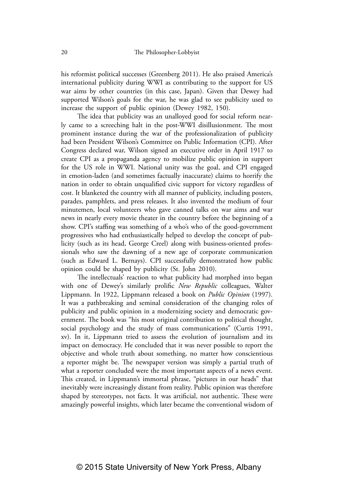his reformist political successes (Greenberg 2011). He also praised America's international publicity during WWI as contributing to the support for US war aims by other countries (in this case, Japan). Given that Dewey had supported Wilson's goals for the war, he was glad to see publicity used to increase the support of public opinion (Dewey 1982, 150).

The idea that publicity was an unalloyed good for social reform nearly came to a screeching halt in the post-WWI disillusionment. The most prominent instance during the war of the professionalization of publicity had been President Wilson's Committee on Public Information (CPI). After Congress declared war, Wilson signed an executive order in April 1917 to create CPI as a propaganda agency to mobilize public opinion in support for the US role in WWI. National unity was the goal, and CPI engaged in emotion-laden (and sometimes factually inaccurate) claims to horrify the nation in order to obtain unqualified civic support for victory regardless of cost. It blanketed the country with all manner of publicity, including posters, parades, pamphlets, and press releases. It also invented the medium of four minutemen, local volunteers who gave canned talks on war aims and war news in nearly every movie theater in the country before the beginning of a show. CPI's staffing was something of a who's who of the good-government progressives who had enthusiastically helped to develop the concept of publicity (such as its head, George Creel) along with business-oriented professionals who saw the dawning of a new age of corporate communication (such as Edward L. Bernays). CPI successfully demonstrated how public opinion could be shaped by publicity (St. John 2010).

The intellectuals' reaction to what publicity had morphed into began with one of Dewey's similarly prolific *New Republic* colleagues, Walter Lippmann. In 1922, Lippmann released a book on *Public Opinion* (1997). It was a pathbreaking and seminal consideration of the changing roles of publicity and public opinion in a modernizing society and democratic government. The book was "his most original contribution to political thought, social psychology and the study of mass communications" (Curtis 1991, xv). In it, Lippmann tried to assess the evolution of journalism and its impact on democracy. He concluded that it was never possible to report the objective and whole truth about something, no matter how conscientious a reporter might be. The newspaper version was simply a partial truth of what a reporter concluded were the most important aspects of a news event. This created, in Lippmann's immortal phrase, "pictures in our heads" that inevitably were increasingly distant from reality. Public opinion was therefore shaped by stereotypes, not facts. It was artificial, not authentic. These were amazingly powerful insights, which later became the conventional wisdom of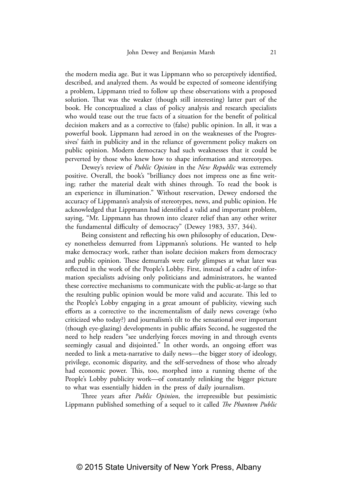the modern media age. But it was Lippmann who so perceptively identified, described, and analyzed them. As would be expected of someone identifying a problem, Lippmann tried to follow up these observations with a proposed solution. That was the weaker (though still interesting) latter part of the book. He conceptualized a class of policy analysis and research specialists who would tease out the true facts of a situation for the benefit of political decision makers and as a corrective to (false) public opinion. In all, it was a powerful book. Lippmann had zeroed in on the weaknesses of the Progressives' faith in publicity and in the reliance of government policy makers on public opinion. Modern democracy had such weaknesses that it could be perverted by those who knew how to shape information and stereotypes.

Dewey's review of *Public Opinion* in the *New Republic* was extremely positive. Overall, the book's "brilliancy does not impress one as fine writing; rather the material dealt with shines through. To read the book is an experience in illumination." Without reservation, Dewey endorsed the accuracy of Lippmann's analysis of stereotypes, news, and public opinion. He acknowledged that Lippmann had identified a valid and important problem, saying, "Mr. Lippmann has thrown into clearer relief than any other writer the fundamental difficulty of democracy" (Dewey 1983, 337, 344).

Being consistent and reflecting his own philosophy of education, Dewey nonetheless demurred from Lippmann's solutions. He wanted to help make democracy work, rather than isolate decision makers from democracy and public opinion. These demurrals were early glimpses at what later was reflected in the work of the People's Lobby. First, instead of a cadre of information specialists advising only politicians and administrators, he wanted these corrective mechanisms to communicate with the public-at-large so that the resulting public opinion would be more valid and accurate. This led to the People's Lobby engaging in a great amount of publicity, viewing such efforts as a corrective to the incrementalism of daily news coverage (who criticized who today?) and journalism's tilt to the sensational over important (though eye-glazing) developments in public affairs Second, he suggested the need to help readers "see underlying forces moving in and through events seemingly casual and disjointed." In other words, an ongoing effort was needed to link a meta-narrative to daily news—the bigger story of ideology, privilege, economic disparity, and the self-servedness of those who already had economic power. This, too, morphed into a running theme of the People's Lobby publicity work—of constantly relinking the bigger picture to what was essentially hidden in the press of daily journalism.

Three years after *Public Opinion*, the irrepressible but pessimistic Lippmann published something of a sequel to it called *The Phantom Public*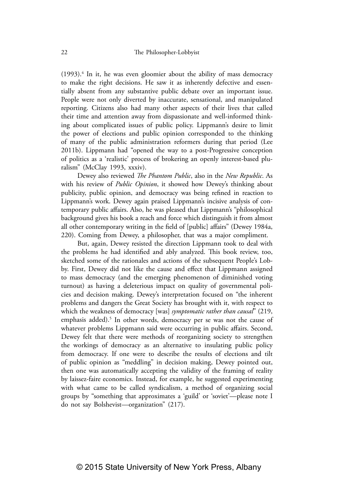$(1993).$ <sup>4</sup> In it, he was even gloomier about the ability of mass democracy to make the right decisions. He saw it as inherently defective and essentially absent from any substantive public debate over an important issue. People were not only diverted by inaccurate, sensational, and manipulated reporting. Citizens also had many other aspects of their lives that called their time and attention away from dispassionate and well-informed thinking about complicated issues of public policy. Lippmann's desire to limit the power of elections and public opinion corresponded to the thinking of many of the public administration reformers during that period (Lee 2011b). Lippmann had "opened the way to a post-Progressive conception of politics as a 'realistic' process of brokering an openly interest-based pluralism" (McClay 1993, xxxiv).

Dewey also reviewed *The Phantom Public*, also in the *New Republic*. As with his review of *Public Opinion*, it showed how Dewey's thinking about publicity, public opinion, and democracy was being refined in reaction to Lippmann's work. Dewey again praised Lippmann's incisive analysis of contemporary public affairs. Also, he was pleased that Lippmann's "philosophical background gives his book a reach and force which distinguish it from almost all other contemporary writing in the field of [public] affairs" (Dewey 1984a, 220). Coming from Dewey, a philosopher, that was a major compliment.

But, again, Dewey resisted the direction Lippmann took to deal with the problems he had identified and ably analyzed. This book review, too, sketched some of the rationales and actions of the subsequent People's Lobby. First, Dewey did not like the cause and effect that Lippmann assigned to mass democracy (and the emerging phenomenon of diminished voting turnout) as having a deleterious impact on quality of governmental policies and decision making. Dewey's interpretation focused on "the inherent problems and dangers the Great Society has brought with it, with respect to which the weakness of democracy [was] *symptomatic rather than causal*" (219, emphasis added).<sup>5</sup> In other words, democracy per se was not the cause of whatever problems Lippmann said were occurring in public affairs. Second, Dewey felt that there were methods of reorganizing society to strengthen the workings of democracy as an alternative to insulating public policy from democracy. If one were to describe the results of elections and tilt of public opinion as "meddling" in decision making, Dewey pointed out, then one was automatically accepting the validity of the framing of reality by laissez-faire economics. Instead, for example, he suggested experimenting with what came to be called syndicalism, a method of organizing social groups by "something that approximates a 'guild' or 'soviet'—please note I do not say Bolshevist—organization" (217).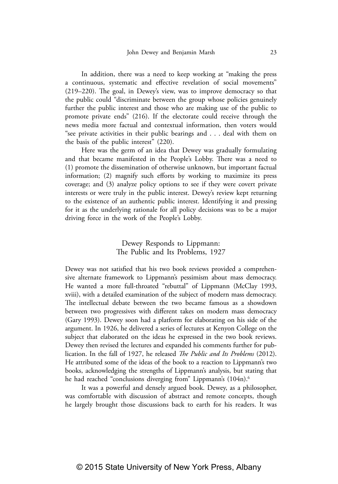In addition, there was a need to keep working at "making the press a continuous, systematic and effective revelation of social movements" (219–220). The goal, in Dewey's view, was to improve democracy so that the public could "discriminate between the group whose policies genuinely further the public interest and those who are making use of the public to promote private ends" (216). If the electorate could receive through the news media more factual and contextual information, then voters would "see private activities in their public bearings and . . . deal with them on the basis of the public interest" (220).

Here was the germ of an idea that Dewey was gradually formulating and that became manifested in the People's Lobby. There was a need to (1) promote the dissemination of otherwise unknown, but important factual information; (2) magnify such efforts by working to maximize its press coverage; and (3) analyze policy options to see if they were covert private interests or were truly in the public interest. Dewey's review kept returning to the existence of an authentic public interest. Identifying it and pressing for it as the underlying rationale for all policy decisions was to be a major driving force in the work of the People's Lobby.

## Dewey Responds to Lippmann: The Public and Its Problems, 1927

Dewey was not satisfied that his two book reviews provided a comprehensive alternate framework to Lippmann's pessimism about mass democracy. He wanted a more full-throated "rebuttal" of Lippmann (McClay 1993, xviii), with a detailed examination of the subject of modern mass democracy. The intellectual debate between the two became famous as a showdown between two progressives with different takes on modern mass democracy (Gary 1993). Dewey soon had a platform for elaborating on his side of the argument. In 1926, he delivered a series of lectures at Kenyon College on the subject that elaborated on the ideas he expressed in the two book reviews. Dewey then revised the lectures and expanded his comments further for publication. In the fall of 1927, he released *The Public and Its Problems* (2012). He attributed some of the ideas of the book to a reaction to Lippmann's two books, acknowledging the strengths of Lippmann's analysis, but stating that he had reached "conclusions diverging from" Lippmann's (104n).<sup>6</sup>

It was a powerful and densely argued book. Dewey, as a philosopher, was comfortable with discussion of abstract and remote concepts, though he largely brought those discussions back to earth for his readers. It was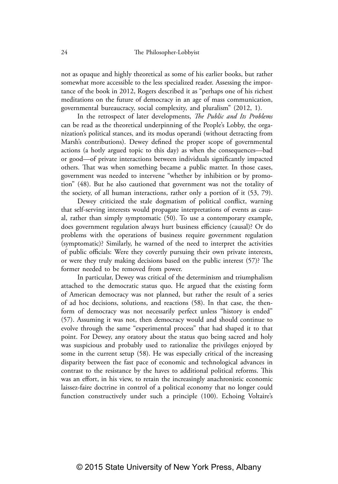not as opaque and highly theoretical as some of his earlier books, but rather somewhat more accessible to the less specialized reader. Assessing the importance of the book in 2012, Rogers described it as "perhaps one of his richest meditations on the future of democracy in an age of mass communication, governmental bureaucracy, social complexity, and pluralism" (2012, 1).

In the retrospect of later developments, *The Public and Its Problems* can be read as the theoretical underpinning of the People's Lobby, the organization's political stances, and its modus operandi (without detracting from Marsh's contributions). Dewey defined the proper scope of governmental actions (a hotly argued topic to this day) as when the consequences—bad or good—of private interactions between individuals significantly impacted others. That was when something became a public matter. In those cases, government was needed to intervene "whether by inhibition or by promotion" (48). But he also cautioned that government was not the totality of the society, of all human interactions, rather only a portion of it (53, 79).

Dewey criticized the stale dogmatism of political conflict, warning that self-serving interests would propagate interpretations of events as causal, rather than simply symptomatic (50). To use a contemporary example, does government regulation always hurt business efficiency (causal)? Or do problems with the operations of business require government regulation (symptomatic)? Similarly, he warned of the need to interpret the activities of public officials: Were they covertly pursuing their own private interests, or were they truly making decisions based on the public interest (57)? The former needed to be removed from power.

In particular, Dewey was critical of the determinism and triumphalism attached to the democratic status quo. He argued that the existing form of American democracy was not planned, but rather the result of a series of ad hoc decisions, solutions, and reactions (58). In that case, the thenform of democracy was not necessarily perfect unless "history is ended" (57). Assuming it was not, then democracy would and should continue to evolve through the same "experimental process" that had shaped it to that point. For Dewey, any oratory about the status quo being sacred and holy was suspicious and probably used to rationalize the privileges enjoyed by some in the current setup (58). He was especially critical of the increasing disparity between the fast pace of economic and technological advances in contrast to the resistance by the haves to additional political reforms. This was an effort, in his view, to retain the increasingly anachronistic economic laissez-faire doctrine in control of a political economy that no longer could function constructively under such a principle (100). Echoing Voltaire's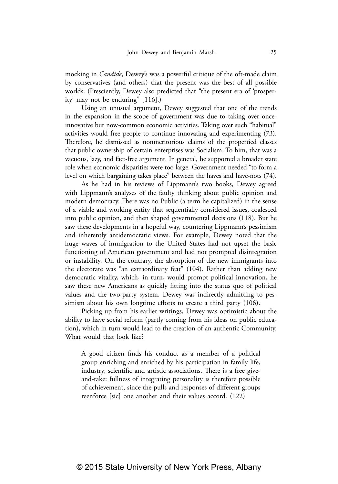mocking in *Candide*, Dewey's was a powerful critique of the oft-made claim by conservatives (and others) that the present was the best of all possible worlds. (Presciently, Dewey also predicted that "the present era of 'prosperity' may not be enduring" [116].)

Using an unusual argument, Dewey suggested that one of the trends in the expansion in the scope of government was due to taking over onceinnovative but now-common economic activities. Taking over such "habitual" activities would free people to continue innovating and experimenting (73). Therefore, he dismissed as nonmeritorious claims of the propertied classes that public ownership of certain enterprises was Socialism. To him, that was a vacuous, lazy, and fact-free argument. In general, he supported a broader state role when economic disparities were too large. Government needed "to form a level on which bargaining takes place" between the haves and have-nots (74).

As he had in his reviews of Lippmann's two books, Dewey agreed with Lippmann's analyses of the faulty thinking about public opinion and modern democracy. There was no Public (a term he capitalized) in the sense of a viable and working entity that sequentially considered issues, coalesced into public opinion, and then shaped governmental decisions (118). But he saw these developments in a hopeful way, countering Lippmann's pessimism and inherently antidemocratic views. For example, Dewey noted that the huge waves of immigration to the United States had not upset the basic functioning of American government and had not prompted disintegration or instability. On the contrary, the absorption of the new immigrants into the electorate was "an extraordinary feat" (104). Rather than adding new democratic vitality, which, in turn, would prompt political innovation, he saw these new Americans as quickly fitting into the status quo of political values and the two-party system. Dewey was indirectly admitting to pessimism about his own longtime efforts to create a third party (106).

Picking up from his earlier writings, Dewey was optimistic about the ability to have social reform (partly coming from his ideas on public education), which in turn would lead to the creation of an authentic Community. What would that look like?

A good citizen finds his conduct as a member of a political group enriching and enriched by his participation in family life, industry, scientific and artistic associations. There is a free giveand-take: fullness of integrating personality is therefore possible of achievement, since the pulls and responses of different groups reenforce [sic] one another and their values accord. (122)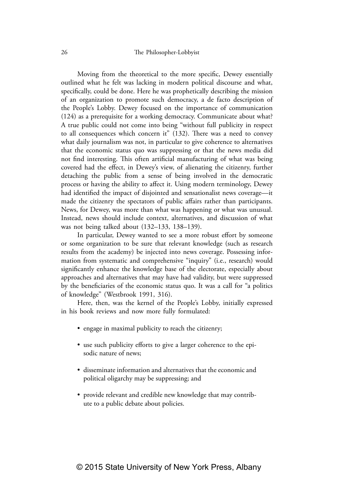Moving from the theoretical to the more specific, Dewey essentially outlined what he felt was lacking in modern political discourse and what, specifically, could be done. Here he was prophetically describing the mission of an organization to promote such democracy, a de facto description of the People's Lobby. Dewey focused on the importance of communication (124) as a prerequisite for a working democracy. Communicate about what? A true public could not come into being "without full publicity in respect to all consequences which concern it" (132). There was a need to convey what daily journalism was not, in particular to give coherence to alternatives that the economic status quo was suppressing or that the news media did not find interesting. This often artificial manufacturing of what was being covered had the effect, in Dewey's view, of alienating the citizenry, further detaching the public from a sense of being involved in the democratic process or having the ability to affect it. Using modern terminology, Dewey had identified the impact of disjointed and sensationalist news coverage—it made the citizenry the spectators of public affairs rather than participants. News, for Dewey, was more than what was happening or what was unusual. Instead, news should include context, alternatives, and discussion of what was not being talked about (132–133, 138–139).

In particular, Dewey wanted to see a more robust effort by someone or some organization to be sure that relevant knowledge (such as research results from the academy) be injected into news coverage. Possessing information from systematic and comprehensive "inquiry" (i.e., research) would significantly enhance the knowledge base of the electorate, especially about approaches and alternatives that may have had validity, but were suppressed by the beneficiaries of the economic status quo. It was a call for "a politics of knowledge" (Westbrook 1991, 316).

Here, then, was the kernel of the People's Lobby, initially expressed in his book reviews and now more fully formulated:

- engage in maximal publicity to reach the citizenry;
- use such publicity efforts to give a larger coherence to the episodic nature of news;
- disseminate information and alternatives that the economic and political oligarchy may be suppressing; and
- provide relevant and credible new knowledge that may contribute to a public debate about policies.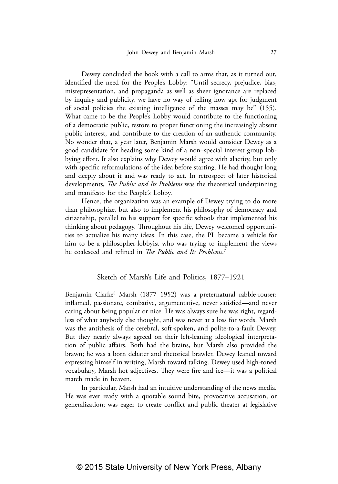Dewey concluded the book with a call to arms that, as it turned out, identified the need for the People's Lobby: "Until secrecy, prejudice, bias, misrepresentation, and propaganda as well as sheer ignorance are replaced by inquiry and publicity, we have no way of telling how apt for judgment of social policies the existing intelligence of the masses may be" (155). What came to be the People's Lobby would contribute to the functioning of a democratic public, restore to proper functioning the increasingly absent public interest, and contribute to the creation of an authentic community. No wonder that, a year later, Benjamin Marsh would consider Dewey as a good candidate for heading some kind of a non–special interest group lobbying effort. It also explains why Dewey would agree with alacrity, but only with specific reformulations of the idea before starting. He had thought long and deeply about it and was ready to act. In retrospect of later historical developments, *The Public and Its Problems* was the theoretical underpinning and manifesto for the People's Lobby.

Hence, the organization was an example of Dewey trying to do more than philosophize, but also to implement his philosophy of democracy and citizenship, parallel to his support for specific schools that implemented his thinking about pedagogy. Throughout his life, Dewey welcomed opportunities to actualize his many ideas. In this case, the PL became a vehicle for him to be a philosopher-lobbyist who was trying to implement the views he coalesced and refined in *The Public and Its Problems*. 7

#### Sketch of Marsh's Life and Politics, 1877–1921

Benjamin Clarke<sup>8</sup> Marsh (1877–1952) was a preternatural rabble-rouser: inflamed, passionate, combative, argumentative, never satisfied—and never caring about being popular or nice. He was always sure he was right, regardless of what anybody else thought, and was never at a loss for words. Marsh was the antithesis of the cerebral, soft-spoken, and polite-to-a-fault Dewey. But they nearly always agreed on their left-leaning ideological interpretation of public affairs. Both had the brains, but Marsh also provided the brawn; he was a born debater and rhetorical brawler. Dewey leaned toward expressing himself in writing, Marsh toward talking. Dewey used high-toned vocabulary, Marsh hot adjectives. They were fire and ice—it was a political match made in heaven.

In particular, Marsh had an intuitive understanding of the news media. He was ever ready with a quotable sound bite, provocative accusation, or generalization; was eager to create conflict and public theater at legislative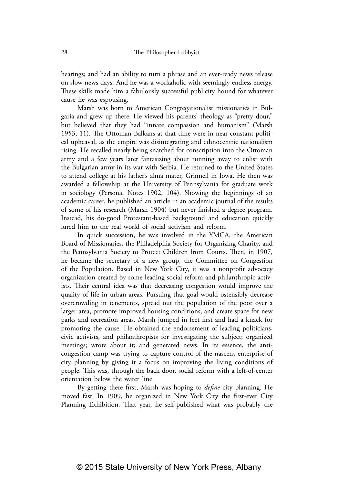hearings; and had an ability to turn a phrase and an ever-ready news release on slow news days. And he was a workaholic with seemingly endless energy. These skills made him a fabulously successful publicity hound for whatever cause he was espousing.

Marsh was born to American Congregationalist missionaries in Bulgaria and grew up there. He viewed his parents' theology as "pretty dour," but believed that they had "innate compassion and humanism" (Marsh 1953, 11). The Ottoman Balkans at that time were in near constant political upheaval, as the empire was disintegrating and ethnocentric nationalism rising. He recalled nearly being snatched for conscription into the Ottoman army and a few years later fantasizing about running away to enlist with the Bulgarian army in its war with Serbia. He returned to the United States to attend college at his father's alma mater, Grinnell in Iowa. He then was awarded a fellowship at the University of Pennsylvania for graduate work in sociology (Personal Notes 1902, 104). Showing the beginnings of an academic career, he published an article in an academic journal of the results of some of his research (Marsh 1904) but never finished a degree program. Instead, his do-good Protestant-based background and education quickly lured him to the real world of social activism and reform.

In quick succession, he was involved in the YMCA, the American Board of Missionaries, the Philadelphia Society for Organizing Charity, and the Pennsylvania Society to Protect Children from Courts. Then, in 1907, he became the secretary of a new group, the Committee on Congestion of the Population. Based in New York City, it was a nonprofit advocacy organization created by some leading social reform and philanthropic activists. Their central idea was that decreasing congestion would improve the quality of life in urban areas. Pursuing that goal would ostensibly decrease overcrowding in tenements, spread out the population of the poor over a larger area, promote improved housing conditions, and create space for new parks and recreation areas. Marsh jumped in feet first and had a knack for promoting the cause. He obtained the endorsement of leading politicians, civic activists, and philanthropists for investigating the subject; organized meetings; wrote about it; and generated news. In its essence, the anticongestion camp was trying to capture control of the nascent enterprise of city planning by giving it a focus on improving the living conditions of people. This was, through the back door, social reform with a left-of-center orientation below the water line.

By getting there first, Marsh was hoping to *define* city planning. He moved fast. In 1909, he organized in New York City the first-ever City Planning Exhibition. That year, he self-published what was probably the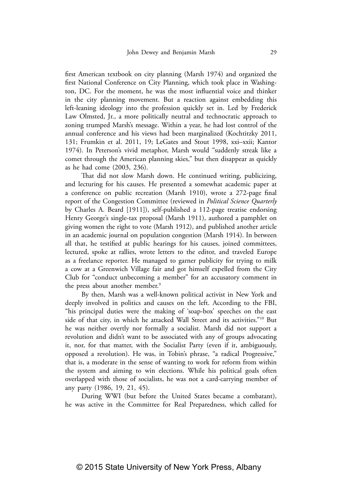first American textbook on city planning (Marsh 1974) and organized the first National Conference on City Planning, which took place in Washington, DC. For the moment, he was the most influential voice and thinker in the city planning movement. But a reaction against embedding this left-leaning ideology into the profession quickly set in. Led by Frederick Law Olmsted, Jr., a more politically neutral and technocratic approach to zoning trumped Marsh's message. Within a year, he had lost control of the annual conference and his views had been marginalized (Kochtitzky 2011, 131; Frumkin et al. 2011, 19; LeGates and Stout 1998, xxi–xxii; Kantor 1974). In Peterson's vivid metaphor, Marsh would "suddenly streak like a comet through the American planning skies," but then disappear as quickly as he had come (2003, 236).

That did not slow Marsh down. He continued writing, publicizing, and lecturing for his causes. He presented a somewhat academic paper at a conference on public recreation (Marsh 1910), wrote a 272-page final report of the Congestion Committee (reviewed in *Political Science Quarterly* by Charles A. Beard [1911]), self-published a 112-page treatise endorsing Henry George's single-tax proposal (Marsh 1911), authored a pamphlet on giving women the right to vote (Marsh 1912), and published another article in an academic journal on population congestion (Marsh 1914). In between all that, he testified at public hearings for his causes, joined committees, lectured, spoke at rallies, wrote letters to the editor, and traveled Europe as a freelance reporter. He managed to garner publicity for trying to milk a cow at a Greenwich Village fair and got himself expelled from the City Club for "conduct unbecoming a member" for an accusatory comment in the press about another member.<sup>9</sup>

By then, Marsh was a well-known political activist in New York and deeply involved in politics and causes on the left. According to the FBI, "his principal duties were the making of 'soap-box' speeches on the east side of that city, in which he attacked Wall Street and its activities."<sup>10</sup> But he was neither overtly nor formally a socialist. Marsh did not support a revolution and didn't want to be associated with any of groups advocating it, nor, for that matter, with the Socialist Party (even if it, ambiguously, opposed a revolution). He was, in Tobin's phrase, "a radical Progressive," that is, a moderate in the sense of wanting to work for reform from within the system and aiming to win elections. While his political goals often overlapped with those of socialists, he was not a card-carrying member of any party (1986, 19, 21, 45).

During WWI (but before the United States became a combatant), he was active in the Committee for Real Preparedness, which called for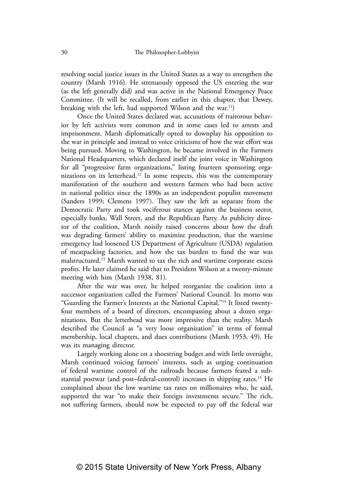resolving social justice issues in the United States as a way to strengthen the country (Marsh 1916). He strenuously opposed the US entering the war (as the left generally did) and was active in the National Emergency Peace Committee. (It will be recalled, from earlier in this chapter, that Dewey, breaking with the left, had supported Wilson and the war.<sup>11</sup>)

Once the United States declared war, accusations of traitorous behavior by left activists were common and in some cases led to arrests and imprisonment. Marsh diplomatically opted to downplay his opposition to the war in principle and instead to voice criticisms of how the war effort was being pursued. Moving to Washington, he became involved in the Farmers National Headquarters, which declared itself the joint voice in Washington for all "progressive farm organizations," listing fourteen sponsoring organizations on its letterhead.12 In some respects, this was the contemporary manifestation of the southern and western farmers who had been active in national politics since the 1890s as an independent populist movement (Sanders 1999; Clemens 1997). They saw the left as separate from the Democratic Party and took vociferous stances against the business sector, especially banks, Wall Street, and the Republican Party. As publicity director of the coalition, Marsh noisily raised concerns about how the draft was degrading farmers' ability to maximize production, that the wartime emergency had loosened US Department of Agriculture (USDA) regulation of meatpacking factories, and how the tax burden to fund the war was malstructured.13 Marsh wanted to tax the rich and wartime corporate excess profits. He later claimed he said that to President Wilson at a twenty-minute meeting with him (Marsh 1938, 81).

After the war was over, he helped reorganize the coalition into a successor organization called the Farmers' National Council. Its motto was "Guarding the Farmer's Interests at the National Capital."14 It listed twentyfour members of a board of directors, encompassing about a dozen organizations. But the letterhead was more impressive than the reality. Marsh described the Council as "a very loose organization" in terms of formal membership, local chapters, and dues contributions (Marsh 1953, 49). He was its managing director.

Largely working alone on a shoestring budget and with little oversight, Marsh continued voicing farmers' interests, such as urging continuation of federal wartime control of the railroads because farmers feared a substantial postwar (and post–federal-control) increases in shipping rates.15 He complained about the low wartime tax rates on millionaires who, he said, supported the war "to make their foreign investments secure." The rich, not suffering farmers, should now be expected to pay off the federal war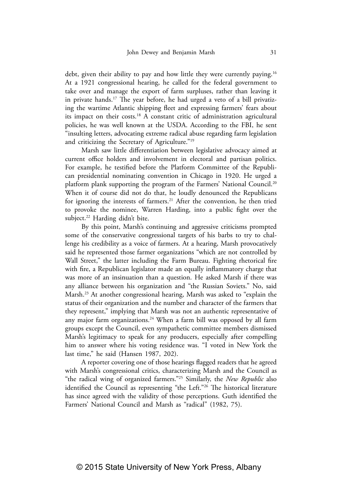debt, given their ability to pay and how little they were currently paying.<sup>16</sup> At a 1921 congressional hearing, he called for the federal government to take over and manage the export of farm surpluses, rather than leaving it in private hands.17 The year before, he had urged a veto of a bill privatizing the wartime Atlantic shipping fleet and expressing farmers' fears about its impact on their costs.18 A constant critic of administration agricultural policies, he was well known at the USDA. According to the FBI, he sent "insulting letters, advocating extreme radical abuse regarding farm legislation and criticizing the Secretary of Agriculture."19

Marsh saw little differentiation between legislative advocacy aimed at current office holders and involvement in electoral and partisan politics. For example, he testified before the Platform Committee of the Republican presidential nominating convention in Chicago in 1920. He urged a platform plank supporting the program of the Farmers' National Council.20 When it of course did not do that, he loudly denounced the Republicans for ignoring the interests of farmers.<sup>21</sup> After the convention, he then tried to provoke the nominee, Warren Harding, into a public fight over the subject.<sup>22</sup> Harding didn't bite.

By this point, Marsh's continuing and aggressive criticisms prompted some of the conservative congressional targets of his barbs to try to challenge his credibility as a voice of farmers. At a hearing, Marsh provocatively said he represented those farmer organizations "which are not controlled by Wall Street," the latter including the Farm Bureau. Fighting rhetorical fire with fire, a Republican legislator made an equally inflammatory charge that was more of an insinuation than a question. He asked Marsh if there was any alliance between his organization and "the Russian Soviets." No, said Marsh.23 At another congressional hearing, Marsh was asked to "explain the status of their organization and the number and character of the farmers that they represent," implying that Marsh was not an authentic representative of any major farm organizations.<sup>24</sup> When a farm bill was opposed by all farm groups except the Council, even sympathetic committee members dismissed Marsh's legitimacy to speak for any producers, especially after compelling him to answer where his voting residence was. "I voted in New York the last time," he said (Hansen 1987, 202).

A reporter covering one of those hearings flagged readers that he agreed with Marsh's congressional critics, characterizing Marsh and the Council as "the radical wing of organized farmers."25 Similarly, the *New Republic* also identified the Council as representing "the Left."26 The historical literature has since agreed with the validity of those perceptions. Guth identified the Farmers' National Council and Marsh as "radical" (1982, 75).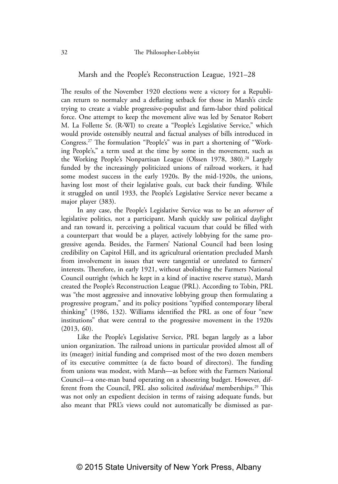#### Marsh and the People's Reconstruction League, 1921–28

The results of the November 1920 elections were a victory for a Republican return to normalcy and a deflating setback for those in Marsh's circle trying to create a viable progressive-populist and farm-labor third political force. One attempt to keep the movement alive was led by Senator Robert M. La Follette Sr. (R-WI) to create a "People's Legislative Service," which would provide ostensibly neutral and factual analyses of bills introduced in Congress.27 The formulation "People's" was in part a shortening of "Working People's," a term used at the time by some in the movement, such as the Working People's Nonpartisan League (Olssen 1978, 380).<sup>28</sup> Largely funded by the increasingly politicized unions of railroad workers, it had some modest success in the early 1920s. By the mid-1920s, the unions, having lost most of their legislative goals, cut back their funding. While it struggled on until 1933, the People's Legislative Service never became a major player (383).

In any case, the People's Legislative Service was to be an *observer* of legislative politics, not a participant. Marsh quickly saw political daylight and ran toward it, perceiving a political vacuum that could be filled with a counterpart that would be a player, actively lobbying for the same progressive agenda. Besides, the Farmers' National Council had been losing credibility on Capitol Hill, and its agricultural orientation precluded Marsh from involvement in issues that were tangential or unrelated to farmers' interests. Therefore, in early 1921, without abolishing the Farmers National Council outright (which he kept in a kind of inactive reserve status), Marsh created the People's Reconstruction League (PRL). According to Tobin, PRL was "the most aggressive and innovative lobbying group then formulating a progressive program," and its policy positions "typified contemporary liberal thinking" (1986, 132). Williams identified the PRL as one of four "new institutions" that were central to the progressive movement in the 1920s (2013, 60).

Like the People's Legislative Service, PRL began largely as a labor union organization. The railroad unions in particular provided almost all of its (meager) initial funding and comprised most of the two dozen members of its executive committee (a de facto board of directors). The funding from unions was modest, with Marsh—as before with the Farmers National Council—a one-man band operating on a shoestring budget. However, different from the Council, PRL also solicited *individual* memberships.<sup>29</sup> This was not only an expedient decision in terms of raising adequate funds, but also meant that PRL's views could not automatically be dismissed as par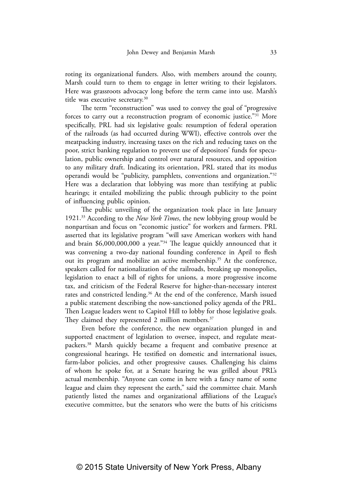roting its organizational funders. Also, with members around the county, Marsh could turn to them to engage in letter writing to their legislators. Here was grassroots advocacy long before the term came into use. Marsh's title was executive secretary.30

The term "reconstruction" was used to convey the goal of "progressive forces to carry out a reconstruction program of economic justice."31 More specifically, PRL had six legislative goals: resumption of federal operation of the railroads (as had occurred during WWI), effective controls over the meatpacking industry, increasing taxes on the rich and reducing taxes on the poor, strict banking regulation to prevent use of depositors' funds for speculation, public ownership and control over natural resources, and opposition to any military draft. Indicating its orientation, PRL stated that its modus operandi would be "publicity, pamphlets, conventions and organization."32 Here was a declaration that lobbying was more than testifying at public hearings; it entailed mobilizing the public through publicity to the point of influencing public opinion.

The public unveiling of the organization took place in late January 1921.33 According to the *New York Times*, the new lobbying group would be nonpartisan and focus on "economic justice" for workers and farmers. PRL asserted that its legislative program "will save American workers with hand and brain \$6,000,000,000 a year."34 The league quickly announced that it was convening a two-day national founding conference in April to flesh out its program and mobilize an active membership.<sup>35</sup> At the conference, speakers called for nationalization of the railroads, breaking up monopolies, legislation to enact a bill of rights for unions, a more progressive income tax, and criticism of the Federal Reserve for higher-than-necessary interest rates and constricted lending.<sup>36</sup> At the end of the conference, Marsh issued a public statement describing the now-sanctioned policy agenda of the PRL. Then League leaders went to Capitol Hill to lobby for those legislative goals. They claimed they represented 2 million members.<sup>37</sup>

Even before the conference, the new organization plunged in and supported enactment of legislation to oversee, inspect, and regulate meatpackers.38 Marsh quickly became a frequent and combative presence at congressional hearings. He testified on domestic and international issues, farm-labor policies, and other progressive causes. Challenging his claims of whom he spoke for, at a Senate hearing he was grilled about PRL's actual membership. "Anyone can come in here with a fancy name of some league and claim they represent the earth," said the committee chair. Marsh patiently listed the names and organizational affiliations of the League's executive committee, but the senators who were the butts of his criticisms